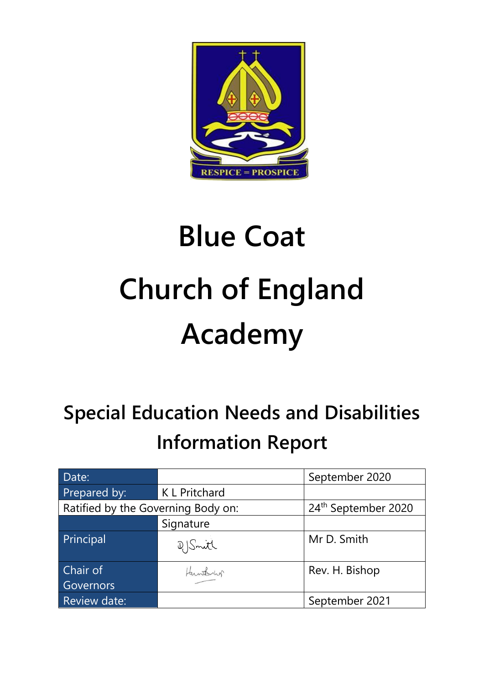

# **Blue Coat Church of England Academy**

# **Special Education Needs and Disabilities Information Report**

| Date:                              |               | September 2020                  |
|------------------------------------|---------------|---------------------------------|
| Prepared by:                       | K L Pritchard |                                 |
| Ratified by the Governing Body on: |               | 24 <sup>th</sup> September 2020 |
|                                    | Signature     |                                 |
| Principal                          | D Smith       | Mr D. Smith                     |
| Chair of                           | Hunterby      | Rev. H. Bishop                  |
| Governors                          |               |                                 |
| Review date:                       |               | September 2021                  |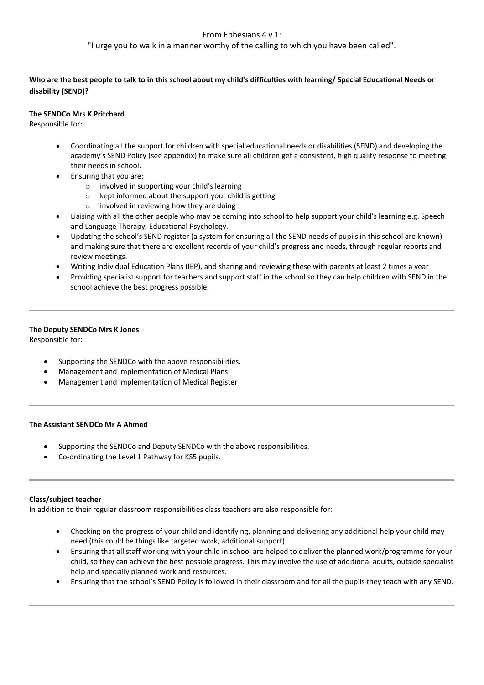### From Ephesians 4 v 1:

"I urge you to walk in a manner worthy of the calling to which you have been called".

**Who are the best people to talk to in this school about my child's difficulties with learning/ Special Educational Needs or disability (SEND)?**

#### **The SENDCo Mrs K Pritchard**

Responsible for:

- Coordinating all the support for children with special educational needs or disabilities (SEND) and developing the academy's SEND Policy (see appendix) to make sure all children get a consistent, high quality response to meeting their needs in school.
- Ensuring that you are:
	- o involved in supporting your child's learning
	- o kept informed about the support your child is getting
	- o involved in reviewing how they are doing
- Liaising with all the other people who may be coming into school to help support your child's learning e.g. Speech and Language Therapy, Educational Psychology.
- Updating the school's SEND register (a system for ensuring all the SEND needs of pupils in this school are known) and making sure that there are excellent records of your child's progress and needs, through regular reports and review meetings.
- Writing Individual Education Plans (IEP), and sharing and reviewing these with parents at least 2 times a year
- Providing specialist support for teachers and support staff in the school so they can help children with SEND in the school achieve the best progress possible.

## **The Deputy SENDCo Mrs K Jones**

Responsible for:

- Supporting the SENDCo with the above responsibilities.
- Management and implementation of Medical Plans
- Management and implementation of Medical Register

#### **The Assistant SENDCo Mr A Ahmed**

- Supporting the SENDCo and Deputy SENDCo with the above responsibilities.
- Co-ordinating the Level 1 Pathway for KS5 pupils.

#### **Class/subject teacher**

In addition to their regular classroom responsibilities class teachers are also responsible for:

- Checking on the progress of your child and identifying, planning and delivering any additional help your child may need (this could be things like targeted work, additional support)
- Ensuring that all staff working with your child in school are helped to deliver the planned work/programme for your child, so they can achieve the best possible progress. This may involve the use of additional adults, outside specialist help and specially planned work and resources.
- Ensuring that the school's SEND Policy is followed in their classroom and for all the pupils they teach with any SEND.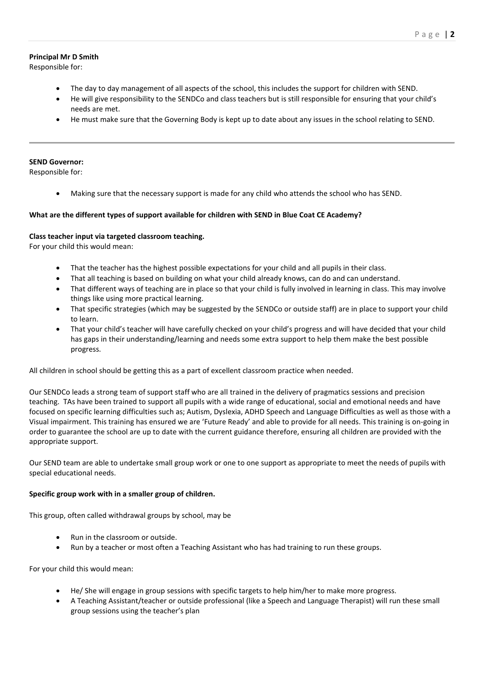#### **Principal Mr D Smith**

Responsible for:

- The day to day management of all aspects of the school, this includes the support for children with SEND.
- He will give responsibility to the SENDCo and class teachers but is still responsible for ensuring that your child's needs are met.
- He must make sure that the Governing Body is kept up to date about any issues in the school relating to SEND.

#### **SEND Governor:**

Responsible for:

• Making sure that the necessary support is made for any child who attends the school who has SEND.

#### **What are the different types of support available for children with SEND in Blue Coat CE Academy?**

#### **Class teacher input via targeted classroom teaching.**

For your child this would mean:

- That the teacher has the highest possible expectations for your child and all pupils in their class.
- That all teaching is based on building on what your child already knows, can do and can understand.
- That different ways of teaching are in place so that your child is fully involved in learning in class. This may involve things like using more practical learning.
- That specific strategies (which may be suggested by the SENDCo or outside staff) are in place to support your child to learn.
- That your child's teacher will have carefully checked on your child's progress and will have decided that your child has gaps in their understanding/learning and needs some extra support to help them make the best possible progress.

All children in school should be getting this as a part of excellent classroom practice when needed.

Our SENDCo leads a strong team of support staff who are all trained in the delivery of pragmatics sessions and precision teaching. TAs have been trained to support all pupils with a wide range of educational, social and emotional needs and have focused on specific learning difficulties such as; Autism, Dyslexia, ADHD Speech and Language Difficulties as well as those with a Visual impairment. This training has ensured we are 'Future Ready' and able to provide for all needs. This training is on-going in order to guarantee the school are up to date with the current guidance therefore, ensuring all children are provided with the appropriate support.

Our SEND team are able to undertake small group work or one to one support as appropriate to meet the needs of pupils with special educational needs.

#### **Specific group work with in a smaller group of children.**

This group, often called withdrawal groups by school, may be

- Run in the classroom or outside.
- Run by a teacher or most often a Teaching Assistant who has had training to run these groups.

For your child this would mean:

- He/ She will engage in group sessions with specific targets to help him/her to make more progress.
- A Teaching Assistant/teacher or outside professional (like a Speech and Language Therapist) will run these small group sessions using the teacher's plan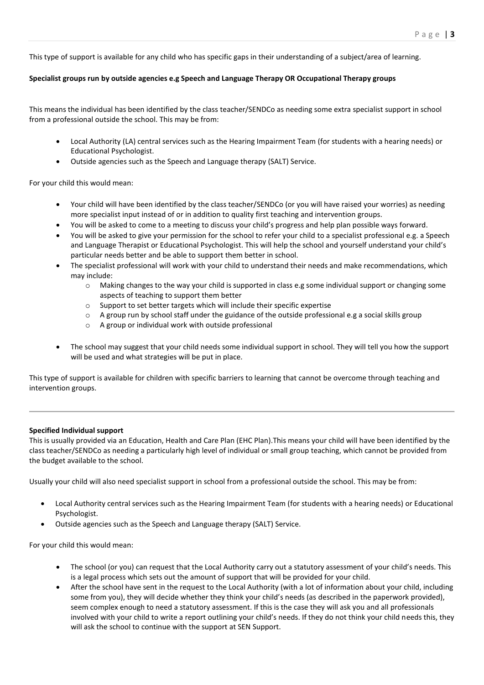This type of support is available for any child who has specific gaps in their understanding of a subject/area of learning.

#### **Specialist groups run by outside agencies e.g Speech and Language Therapy OR Occupational Therapy groups**

This means the individual has been identified by the class teacher/SENDCo as needing some extra specialist support in school from a professional outside the school. This may be from:

- Local Authority (LA) central services such as the Hearing Impairment Team (for students with a hearing needs) or Educational Psychologist.
- Outside agencies such as the Speech and Language therapy (SALT) Service.

For your child this would mean:

- Your child will have been identified by the class teacher/SENDCo (or you will have raised your worries) as needing more specialist input instead of or in addition to quality first teaching and intervention groups.
- You will be asked to come to a meeting to discuss your child's progress and help plan possible ways forward.
- You will be asked to give your permission for the school to refer your child to a specialist professional e.g. a Speech and Language Therapist or Educational Psychologist. This will help the school and yourself understand your child's particular needs better and be able to support them better in school.
- The specialist professional will work with your child to understand their needs and make recommendations, which may include:
	- $\circ$  Making changes to the way your child is supported in class e.g some individual support or changing some aspects of teaching to support them better
	- o Support to set better targets which will include their specific expertise
	- $\circ$  A group run by school staff under the guidance of the outside professional e.g a social skills group
	- o A group or individual work with outside professional
- The school may suggest that your child needs some individual support in school. They will tell you how the support will be used and what strategies will be put in place.

This type of support is available for children with specific barriers to learning that cannot be overcome through teaching and intervention groups.

#### **Specified Individual support**

This is usually provided via an Education, Health and Care Plan (EHC Plan).This means your child will have been identified by the class teacher/SENDCo as needing a particularly high level of individual or small group teaching, which cannot be provided from the budget available to the school.

Usually your child will also need specialist support in school from a professional outside the school. This may be from:

- Local Authority central services such as the Hearing Impairment Team (for students with a hearing needs) or Educational Psychologist.
- Outside agencies such as the Speech and Language therapy (SALT) Service.

For your child this would mean:

- The school (or you) can request that the Local Authority carry out a statutory assessment of your child's needs. This is a legal process which sets out the amount of support that will be provided for your child.
- After the school have sent in the request to the Local Authority (with a lot of information about your child, including some from you), they will decide whether they think your child's needs (as described in the paperwork provided), seem complex enough to need a statutory assessment. If this is the case they will ask you and all professionals involved with your child to write a report outlining your child's needs. If they do not think your child needs this, they will ask the school to continue with the support at SEN Support.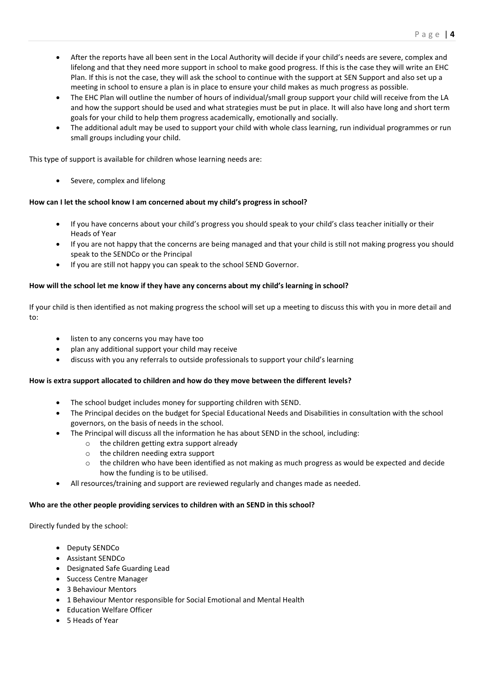- After the reports have all been sent in the Local Authority will decide if your child's needs are severe, complex and lifelong and that they need more support in school to make good progress. If this is the case they will write an EHC Plan. If this is not the case, they will ask the school to continue with the support at SEN Support and also set up a meeting in school to ensure a plan is in place to ensure your child makes as much progress as possible.
- The EHC Plan will outline the number of hours of individual/small group support your child will receive from the LA and how the support should be used and what strategies must be put in place. It will also have long and short term goals for your child to help them progress academically, emotionally and socially.
- The additional adult may be used to support your child with whole class learning, run individual programmes or run small groups including your child.

This type of support is available for children whose learning needs are:

Severe, complex and lifelong

#### **How can I let the school know I am concerned about my child's progress in school?**

- If you have concerns about your child's progress you should speak to your child's class teacher initially or their Heads of Year
- If you are not happy that the concerns are being managed and that your child is still not making progress you should speak to the SENDCo or the Principal
- If you are still not happy you can speak to the school SEND Governor.

#### **How will the school let me know if they have any concerns about my child's learning in school?**

If your child is then identified as not making progress the school will set up a meeting to discuss this with you in more detail and to:

- listen to any concerns you may have too
- plan any additional support your child may receive
- discuss with you any referrals to outside professionals to support your child's learning

#### **How is extra support allocated to children and how do they move between the different levels?**

- The school budget includes money for supporting children with SEND.
- The Principal decides on the budget for Special Educational Needs and Disabilities in consultation with the school governors, on the basis of needs in the school.
- The Principal will discuss all the information he has about SEND in the school, including:
	- o the children getting extra support already
	- o the children needing extra support
	- $\circ$  the children who have been identified as not making as much progress as would be expected and decide how the funding is to be utilised.
- All resources/training and support are reviewed regularly and changes made as needed.

#### **Who are the other people providing services to children with an SEND in this school?**

Directly funded by the school:

- Deputy SENDCo
- Assistant SENDCo
- Designated Safe Guarding Lead
- Success Centre Manager
- 3 Behaviour Mentors
- 1 Behaviour Mentor responsible for Social Emotional and Mental Health
- Education Welfare Officer
- 5 Heads of Year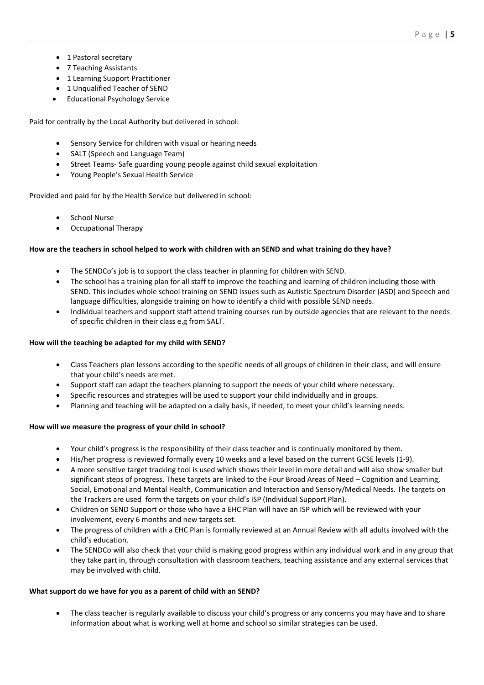- 1 Pastoral secretary
- 7 Teaching Assistants
- 1 Learning Support Practitioner
- 1 Unqualified Teacher of SEND
- Educational Psychology Service

Paid for centrally by the Local Authority but delivered in school:

- Sensory Service for children with visual or hearing needs
- SALT (Speech and Language Team)
- Street Teams- Safe guarding young people against child sexual exploitation
- Young People's Sexual Health Service

Provided and paid for by the Health Service but delivered in school:

- School Nurse
- Occupational Therapy

#### **How are the teachers in school helped to work with children with an SEND and what training do they have?**

- The SENDCo's job is to support the class teacher in planning for children with SEND.
- The school has a training plan for all staff to improve the teaching and learning of children including those with SEND. This includes whole school training on SEND issues such as Autistic Spectrum Disorder (ASD) and Speech and language difficulties, alongside training on how to identify a child with possible SEND needs.
- Individual teachers and support staff attend training courses run by outside agencies that are relevant to the needs of specific children in their class e.g from SALT.

#### **How will the teaching be adapted for my child with SEND?**

- Class Teachers plan lessons according to the specific needs of all groups of children in their class, and will ensure that your child's needs are met.
- Support staff can adapt the teachers planning to support the needs of your child where necessary.
- Specific resources and strategies will be used to support your child individually and in groups.
- Planning and teaching will be adapted on a daily basis, if needed, to meet your child's learning needs.

#### **How will we measure the progress of your child in school?**

- Your child's progress is the responsibility of their class teacher and is continually monitored by them.
- His/her progress is reviewed formally every 10 weeks and a level based on the current GCSE levels (1-9).
- A more sensitive target tracking tool is used which shows their level in more detail and will also show smaller but significant steps of progress. These targets are linked to the Four Broad Areas of Need – Cognition and Learning, Social, Emotional and Mental Health, Communication and Interaction and Sensory/Medical Needs. The targets on the Trackers are used form the targets on your child's ISP (Individual Support Plan).
- Children on SEND Support or those who have a EHC Plan will have an ISP which will be reviewed with your involvement, every 6 months and new targets set.
- The progress of children with a EHC Plan is formally reviewed at an Annual Review with all adults involved with the child's education.
- The SENDCo will also check that your child is making good progress within any individual work and in any group that they take part in, through consultation with classroom teachers, teaching assistance and any external services that may be involved with child.

#### **What support do we have for you as a parent of child with an SEND?**

• The class teacher is regularly available to discuss your child's progress or any concerns you may have and to share information about what is working well at home and school so similar strategies can be used.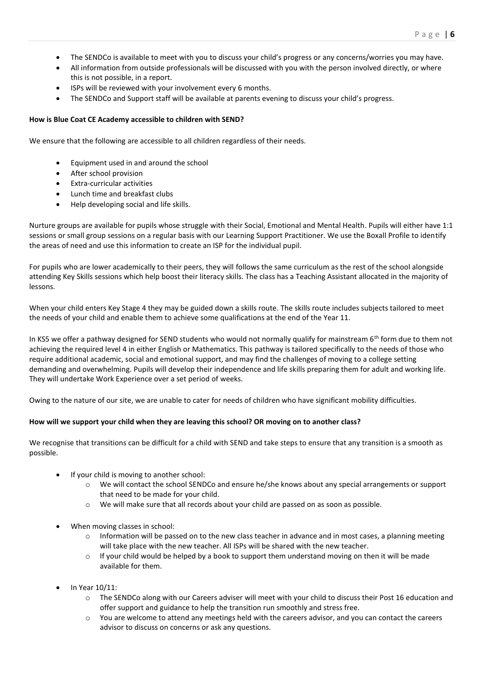- The SENDCo is available to meet with you to discuss your child's progress or any concerns/worries you may have.
- All information from outside professionals will be discussed with you with the person involved directly, or where this is not possible, in a report.
- ISPs will be reviewed with your involvement every 6 months.
- The SENDCo and Support staff will be available at parents evening to discuss your child's progress.

#### **How is Blue Coat CE Academy accessible to children with SEND?**

We ensure that the following are accessible to all children regardless of their needs.

- Equipment used in and around the school
- After school provision
- Extra-curricular activities
- Lunch time and breakfast clubs
- Help developing social and life skills.

Nurture groups are available for pupils whose struggle with their Social, Emotional and Mental Health. Pupils will either have 1:1 sessions or small group sessions on a regular basis with our Learning Support Practitioner. We use the Boxall Profile to identify the areas of need and use this information to create an ISP for the individual pupil.

For pupils who are lower academically to their peers, they will follows the same curriculum as the rest of the school alongside attending Key Skills sessions which help boost their literacy skills. The class has a Teaching Assistant allocated in the majority of lessons.

When your child enters Key Stage 4 they may be guided down a skills route. The skills route includes subjects tailored to meet the needs of your child and enable them to achieve some qualifications at the end of the Year 11.

In KS5 we offer a pathway designed for SEND students who would not normally qualify for mainstream 6<sup>th</sup> form due to them not achieving the required level 4 in either English or Mathematics. This pathway is tailored specifically to the needs of those who require additional academic, social and emotional support, and may find the challenges of moving to a college setting demanding and overwhelming. Pupils will develop their independence and life skills preparing them for adult and working life. They will undertake Work Experience over a set period of weeks.

Owing to the nature of our site, we are unable to cater for needs of children who have significant mobility difficulties.

#### **How will we support your child when they are leaving this school? OR moving on to another class?**

We recognise that transitions can be difficult for a child with SEND and take steps to ensure that any transition is a smooth as possible.

- If your child is moving to another school:
	- o We will contact the school SENDCo and ensure he/she knows about any special arrangements or support that need to be made for your child.
	- o We will make sure that all records about your child are passed on as soon as possible.
- When moving classes in school:
	- $\circ$  Information will be passed on to the new class teacher in advance and in most cases, a planning meeting will take place with the new teacher. All ISPs will be shared with the new teacher.
	- $\circ$  If your child would be helped by a book to support them understand moving on then it will be made available for them.
- In Year 10/11:
	- o The SENDCo along with our Careers adviser will meet with your child to discuss their Post 16 education and offer support and guidance to help the transition run smoothly and stress free.
	- $\circ$  You are welcome to attend any meetings held with the careers advisor, and you can contact the careers advisor to discuss on concerns or ask any questions.